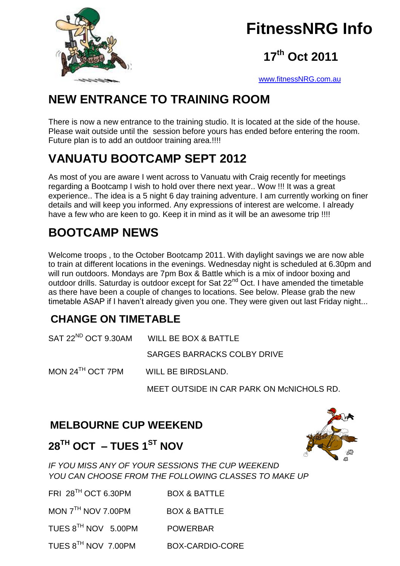

## **FitnessNRG Info**

## **17 th Oct 2011**

[www.fitnessNRG.com.au](http://www.fitnessnrg.com.au/)

## **NEW ENTRANCE TO TRAINING ROOM**

There is now a new entrance to the training studio. It is located at the side of the house. Please wait outside until the session before yours has ended before entering the room. Future plan is to add an outdoor training area.!!!!

## **VANUATU BOOTCAMP SEPT 2012**

As most of you are aware I went across to Vanuatu with Craig recently for meetings regarding a Bootcamp I wish to hold over there next year.. Wow !!! It was a great experience.. The idea is a 5 night 6 day training adventure. I am currently working on finer details and will keep you informed. Any expressions of interest are welcome. I already have a few who are keen to go. Keep it in mind as it will be an awesome trip !!!!

## **BOOTCAMP NEWS**

Welcome troops , to the October Bootcamp 2011. With daylight savings we are now able to train at different locations in the evenings. Wednesday night is scheduled at 6.30pm and will run outdoors. Mondays are 7pm Box & Battle which is a mix of indoor boxing and outdoor drills. Saturday is outdoor except for Sat 22<sup>nd</sup> Oct. I have amended the timetable as there have been a couple of changes to locations. See below. Please grab the new timetable ASAP if I haven't already given you one. They were given out last Friday night...

### **CHANGE ON TIMETABLE**

|                              | SAT 22 <sup>ND</sup> OCT 9.30AM WILL BE BOX & BATTLE |
|------------------------------|------------------------------------------------------|
|                              | SARGES BARRACKS COLBY DRIVE                          |
| MON 24 <sup>TH</sup> OCT 7PM | WILL BE BIRDSLAND.                                   |
|                              | MEET OUTSIDE IN CAR PARK ON MCNICHOLS RD.            |

### **MELBOURNE CUP WEEKEND**



### **28TH OCT – TUES 1ST NOV**

*IF YOU MISS ANY OF YOUR SESSIONS THE CUP WEEKEND YOU CAN CHOOSE FROM THE FOLLOWING CLASSES TO MAKE UP* 

FRI 28<sup>TH</sup> OCT 6.30PM BOX & BATTLE

MON 7<sup>TH</sup> NOV 7.00PM BOX & BATTLE

TUES 8TH NOV 5.00PM POWERBAR

TUES 8TH NOV 7.00PM BOX-CARDIO-CORE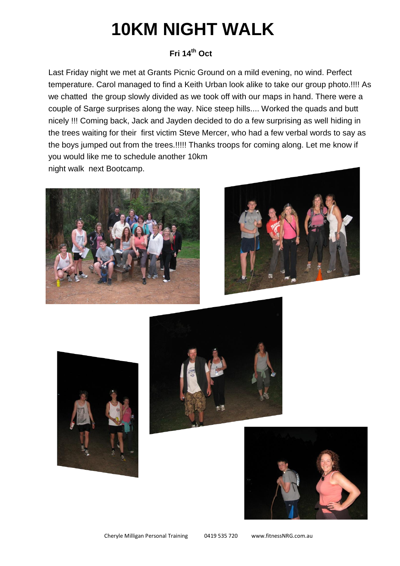# **10KM NIGHT WALK**

#### **Fri 14th Oct**

Last Friday night we met at Grants Picnic Ground on a mild evening, no wind. Perfect temperature. Carol managed to find a Keith Urban look alike to take our group photo.!!!! As we chatted the group slowly divided as we took off with our maps in hand. There were a couple of Sarge surprises along the way. Nice steep hills.... Worked the quads and butt nicely !!! Coming back, Jack and Jayden decided to do a few surprising as well hiding in the trees waiting for their first victim Steve Mercer, who had a few verbal words to say as the boys jumped out from the trees.!!!!! Thanks troops for coming along. Let me know if you would like me to schedule another 10km night walk next Bootcamp.









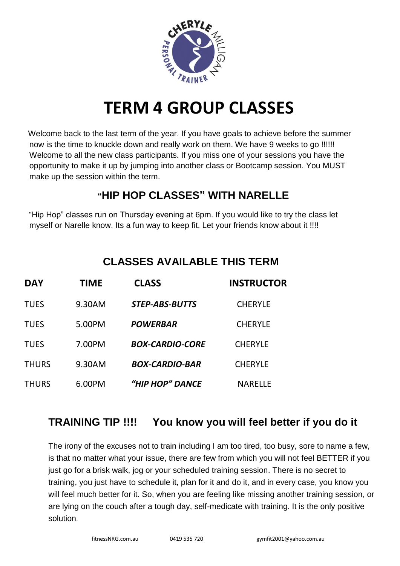

## **TERM 4 GROUP CLASSES**

 Welcome back to the last term of the year. If you have goals to achieve before the summer now is the time to knuckle down and really work on them. We have 9 weeks to go !!!!!! Welcome to all the new class participants. If you miss one of your sessions you have the opportunity to make it up by jumping into another class or Bootcamp session. You MUST make up the session within the term.

#### **"HIP HOP CLASSES" WITH NARELLE**

"Hip Hop" classes run on Thursday evening at 6pm. If you would like to try the class let myself or Narelle know. Its a fun way to keep fit. Let your friends know about it !!!!

| <b>DAY</b>   | TIME   | <b>CLASS</b>           | <b>INSTRUCTOR</b> |
|--------------|--------|------------------------|-------------------|
| <b>TUES</b>  | 9.30AM | <b>STEP-ABS-BUTTS</b>  | <b>CHERYLE</b>    |
| <b>TUES</b>  | 5.00PM | <b>POWERBAR</b>        | <b>CHERYLE</b>    |
| <b>TUES</b>  | 7.00PM | <b>BOX-CARDIO-CORE</b> | <b>CHERYLE</b>    |
| <b>THURS</b> | 9.30AM | <b>BOX-CARDIO-BAR</b>  | <b>CHERYLE</b>    |
| <b>THURS</b> | 6.00PM | "HIP HOP" DANCE        | <b>NARELLE</b>    |

### **TRAINING TIP !!!! You know you will feel better if you do it**

The irony of the excuses not to train including I am too tired, too busy, sore to name a few, is that no matter what your issue, there are few from which you will not feel BETTER if you just go for a brisk walk, jog or your scheduled training session. There is no secret to training, you just have to schedule it, plan for it and do it, and in every case, you know you will feel much better for it. So, when you are feeling like missing another training session, or are lying on the couch after a tough day, self-medicate with training. It is the only positive solution.